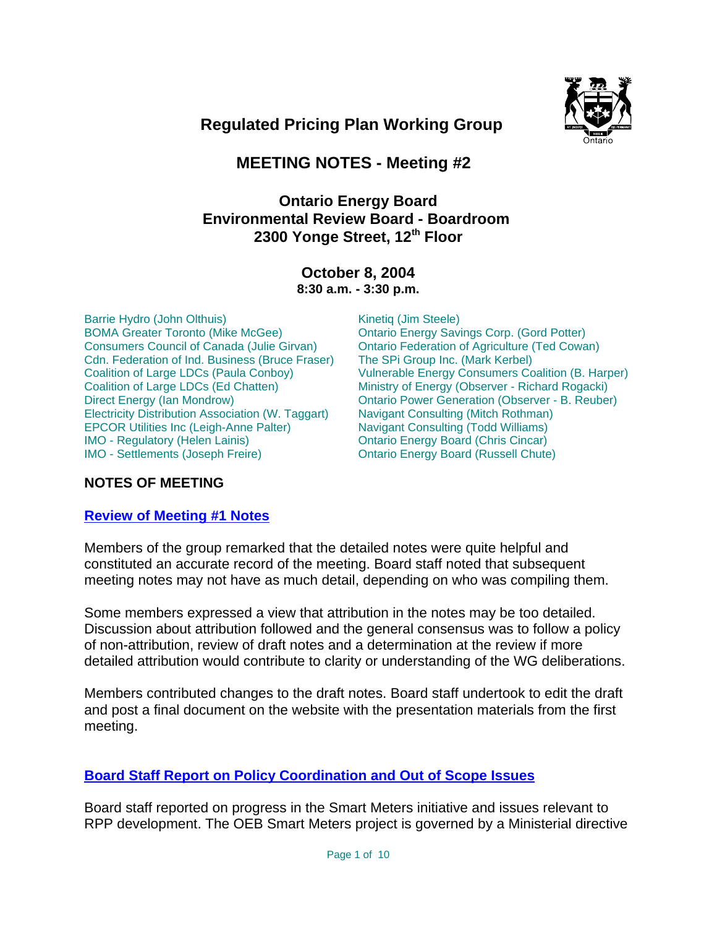

 **Regulated Pricing Plan Working Group**

# **MEETING NOTES - Meeting #2**

# **Ontario Energy Board Environmental Review Board - Boardroom**  2300 Yonge Street, 12<sup>th</sup> Floor

#### **October 8, 2004 8:30 a.m. - 3:30 p.m.**

Barrie Hydro (John Olthuis) BOMA Greater Toronto (Mike McGee) Consumers Council of Canada (Julie Girvan) Cdn. Federation of Ind. Business (Bruce Fraser) Coalition of Large LDCs (Paula Conboy) Coalition of Large LDCs (Ed Chatten) Direct Energy (Ian Mondrow) Electricity Distribution Association (W. Taggart) EPCOR Utilities Inc (Leigh-Anne Palter) IMO - Regulatory (Helen Lainis) IMO - Settlements (Joseph Freire)

Kinetiq (Jim Steele) Ontario Energy Savings Corp. (Gord Potter) Ontario Federation of Agriculture (Ted Cowan) The SPi Group Inc. (Mark Kerbel) Vulnerable Energy Consumers Coalition (B. Harper) Ministry of Energy (Observer - Richard Rogacki) Ontario Power Generation (Observer - B. Reuber) Navigant Consulting (Mitch Rothman) Navigant Consulting (Todd Williams) Ontario Energy Board (Chris Cincar) Ontario Energy Board (Russell Chute)

## **NOTES OF MEETING**

## **Review of Meeting #1 Notes**

Members of the group remarked that the detailed notes were quite helpful and constituted an accurate record of the meeting. Board staff noted that subsequent meeting notes may not have as much detail, depending on who was compiling them.

Some members expressed a view that attribution in the notes may be too detailed. Discussion about attribution followed and the general consensus was to follow a policy of non-attribution, review of draft notes and a determination at the review if more detailed attribution would contribute to clarity or understanding of the WG deliberations.

Members contributed changes to the draft notes. Board staff undertook to edit the draft and post a final document on the website with the presentation materials from the first meeting.

## **Board Staff Report on Policy Coordination and Out of Scope Issues**

Board staff reported on progress in the Smart Meters initiative and issues relevant to RPP development. The OEB Smart Meters project is governed by a Ministerial directive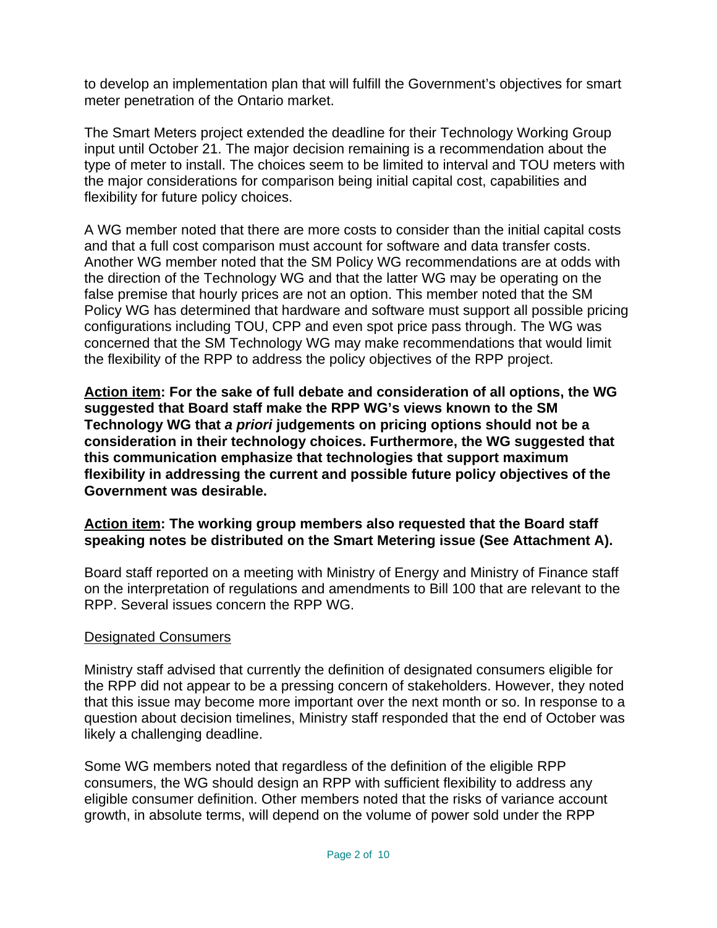to develop an implementation plan that will fulfill the Government's objectives for smart meter penetration of the Ontario market.

The Smart Meters project extended the deadline for their Technology Working Group input until October 21. The major decision remaining is a recommendation about the type of meter to install. The choices seem to be limited to interval and TOU meters with the major considerations for comparison being initial capital cost, capabilities and flexibility for future policy choices.

A WG member noted that there are more costs to consider than the initial capital costs and that a full cost comparison must account for software and data transfer costs. Another WG member noted that the SM Policy WG recommendations are at odds with the direction of the Technology WG and that the latter WG may be operating on the false premise that hourly prices are not an option. This member noted that the SM Policy WG has determined that hardware and software must support all possible pricing configurations including TOU, CPP and even spot price pass through. The WG was concerned that the SM Technology WG may make recommendations that would limit the flexibility of the RPP to address the policy objectives of the RPP project.

**Action item: For the sake of full debate and consideration of all options, the WG suggested that Board staff make the RPP WG's views known to the SM Technology WG that** *a priori* **judgements on pricing options should not be a consideration in their technology choices. Furthermore, the WG suggested that this communication emphasize that technologies that support maximum flexibility in addressing the current and possible future policy objectives of the Government was desirable.** 

## **Action item: The working group members also requested that the Board staff speaking notes be distributed on the Smart Metering issue (See Attachment A).**

Board staff reported on a meeting with Ministry of Energy and Ministry of Finance staff on the interpretation of regulations and amendments to Bill 100 that are relevant to the RPP. Several issues concern the RPP WG.

## Designated Consumers

Ministry staff advised that currently the definition of designated consumers eligible for the RPP did not appear to be a pressing concern of stakeholders. However, they noted that this issue may become more important over the next month or so. In response to a question about decision timelines, Ministry staff responded that the end of October was likely a challenging deadline.

Some WG members noted that regardless of the definition of the eligible RPP consumers, the WG should design an RPP with sufficient flexibility to address any eligible consumer definition. Other members noted that the risks of variance account growth, in absolute terms, will depend on the volume of power sold under the RPP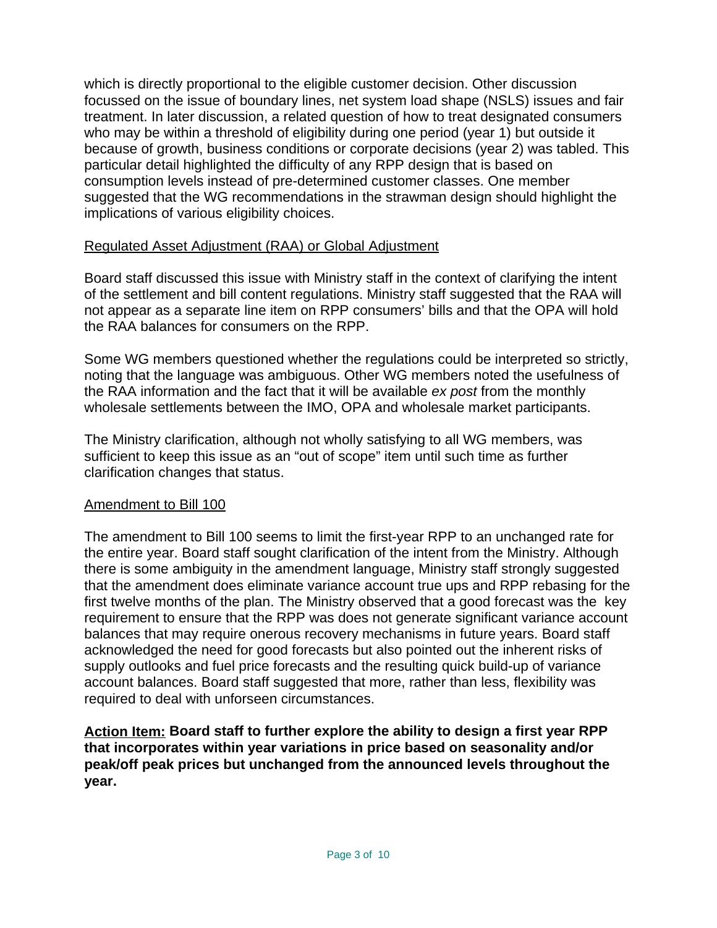which is directly proportional to the eligible customer decision. Other discussion focussed on the issue of boundary lines, net system load shape (NSLS) issues and fair treatment. In later discussion, a related question of how to treat designated consumers who may be within a threshold of eligibility during one period (year 1) but outside it because of growth, business conditions or corporate decisions (year 2) was tabled. This particular detail highlighted the difficulty of any RPP design that is based on consumption levels instead of pre-determined customer classes. One member suggested that the WG recommendations in the strawman design should highlight the implications of various eligibility choices.

## Regulated Asset Adjustment (RAA) or Global Adjustment

Board staff discussed this issue with Ministry staff in the context of clarifying the intent of the settlement and bill content regulations. Ministry staff suggested that the RAA will not appear as a separate line item on RPP consumers' bills and that the OPA will hold the RAA balances for consumers on the RPP.

Some WG members questioned whether the regulations could be interpreted so strictly, noting that the language was ambiguous. Other WG members noted the usefulness of the RAA information and the fact that it will be available *ex post* from the monthly wholesale settlements between the IMO, OPA and wholesale market participants.

The Ministry clarification, although not wholly satisfying to all WG members, was sufficient to keep this issue as an "out of scope" item until such time as further clarification changes that status.

#### Amendment to Bill 100

The amendment to Bill 100 seems to limit the first-year RPP to an unchanged rate for the entire year. Board staff sought clarification of the intent from the Ministry. Although there is some ambiguity in the amendment language, Ministry staff strongly suggested that the amendment does eliminate variance account true ups and RPP rebasing for the first twelve months of the plan. The Ministry observed that a good forecast was the key requirement to ensure that the RPP was does not generate significant variance account balances that may require onerous recovery mechanisms in future years. Board staff acknowledged the need for good forecasts but also pointed out the inherent risks of supply outlooks and fuel price forecasts and the resulting quick build-up of variance account balances. Board staff suggested that more, rather than less, flexibility was required to deal with unforseen circumstances.

**Action Item: Board staff to further explore the ability to design a first year RPP that incorporates within year variations in price based on seasonality and/or peak/off peak prices but unchanged from the announced levels throughout the year.**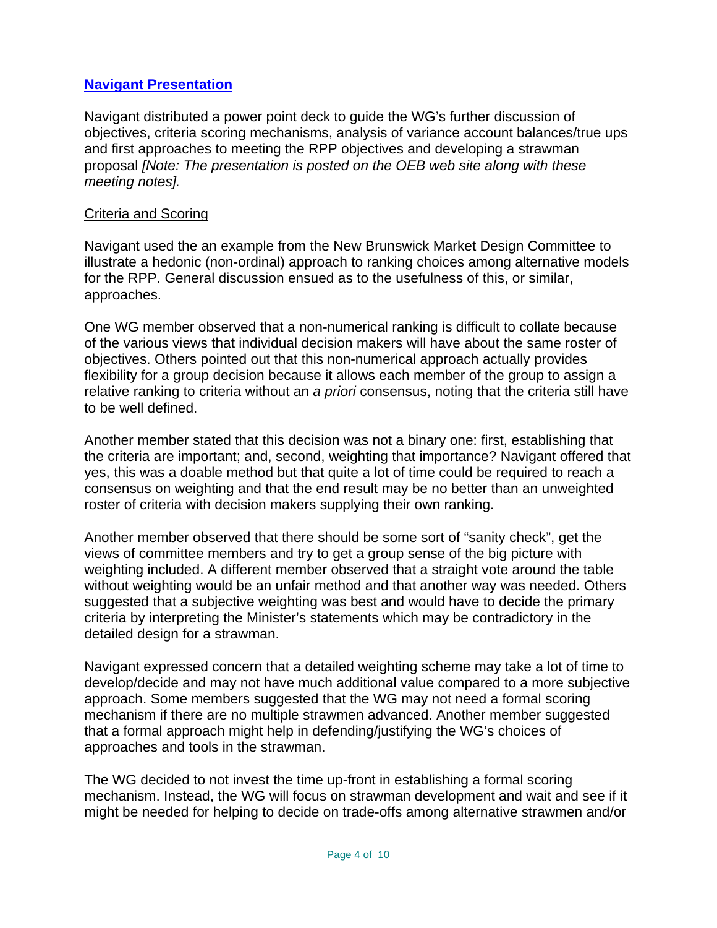## **Navigant Presentation**

Navigant distributed a power point deck to guide the WG's further discussion of objectives, criteria scoring mechanisms, analysis of variance account balances/true ups and first approaches to meeting the RPP objectives and developing a strawman proposal *[Note: The presentation is posted on the OEB web site along with these meeting notes].*

#### Criteria and Scoring

Navigant used the an example from the New Brunswick Market Design Committee to illustrate a hedonic (non-ordinal) approach to ranking choices among alternative models for the RPP. General discussion ensued as to the usefulness of this, or similar, approaches.

One WG member observed that a non-numerical ranking is difficult to collate because of the various views that individual decision makers will have about the same roster of objectives. Others pointed out that this non-numerical approach actually provides flexibility for a group decision because it allows each member of the group to assign a relative ranking to criteria without an *a priori* consensus, noting that the criteria still have to be well defined.

Another member stated that this decision was not a binary one: first, establishing that the criteria are important; and, second, weighting that importance? Navigant offered that yes, this was a doable method but that quite a lot of time could be required to reach a consensus on weighting and that the end result may be no better than an unweighted roster of criteria with decision makers supplying their own ranking.

Another member observed that there should be some sort of "sanity check", get the views of committee members and try to get a group sense of the big picture with weighting included. A different member observed that a straight vote around the table without weighting would be an unfair method and that another way was needed. Others suggested that a subjective weighting was best and would have to decide the primary criteria by interpreting the Minister's statements which may be contradictory in the detailed design for a strawman.

Navigant expressed concern that a detailed weighting scheme may take a lot of time to develop/decide and may not have much additional value compared to a more subjective approach. Some members suggested that the WG may not need a formal scoring mechanism if there are no multiple strawmen advanced. Another member suggested that a formal approach might help in defending/justifying the WG's choices of approaches and tools in the strawman.

The WG decided to not invest the time up-front in establishing a formal scoring mechanism. Instead, the WG will focus on strawman development and wait and see if it might be needed for helping to decide on trade-offs among alternative strawmen and/or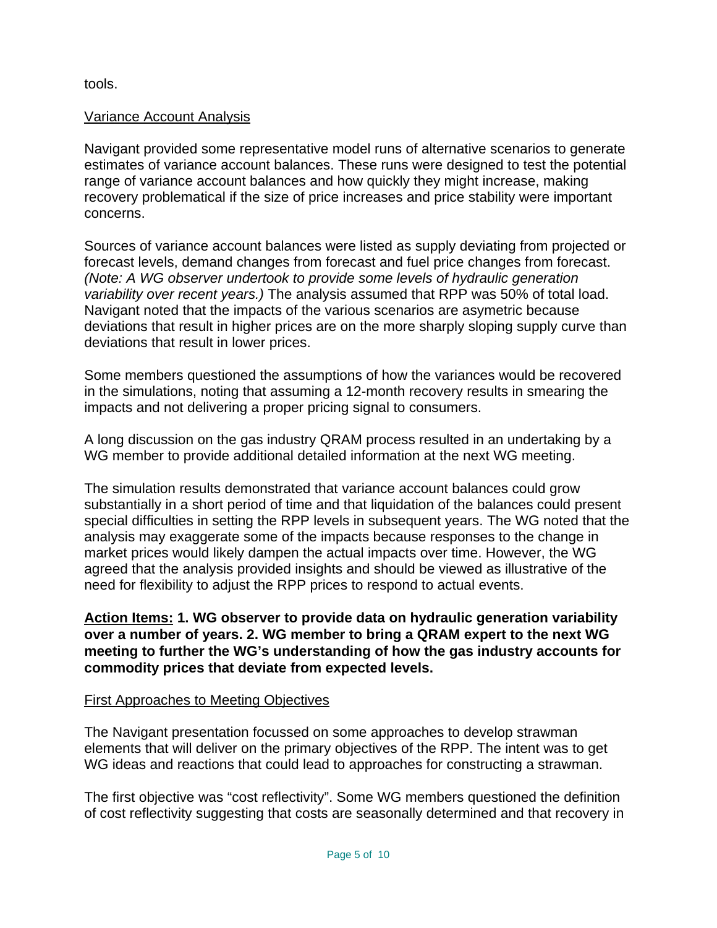tools.

#### Variance Account Analysis

Navigant provided some representative model runs of alternative scenarios to generate estimates of variance account balances. These runs were designed to test the potential range of variance account balances and how quickly they might increase, making recovery problematical if the size of price increases and price stability were important concerns.

Sources of variance account balances were listed as supply deviating from projected or forecast levels, demand changes from forecast and fuel price changes from forecast. *(Note: A WG observer undertook to provide some levels of hydraulic generation variability over recent years.)* The analysis assumed that RPP was 50% of total load. Navigant noted that the impacts of the various scenarios are asymetric because deviations that result in higher prices are on the more sharply sloping supply curve than deviations that result in lower prices.

Some members questioned the assumptions of how the variances would be recovered in the simulations, noting that assuming a 12-month recovery results in smearing the impacts and not delivering a proper pricing signal to consumers.

A long discussion on the gas industry QRAM process resulted in an undertaking by a WG member to provide additional detailed information at the next WG meeting.

The simulation results demonstrated that variance account balances could grow substantially in a short period of time and that liquidation of the balances could present special difficulties in setting the RPP levels in subsequent years. The WG noted that the analysis may exaggerate some of the impacts because responses to the change in market prices would likely dampen the actual impacts over time. However, the WG agreed that the analysis provided insights and should be viewed as illustrative of the need for flexibility to adjust the RPP prices to respond to actual events.

**Action Items: 1. WG observer to provide data on hydraulic generation variability over a number of years. 2. WG member to bring a QRAM expert to the next WG meeting to further the WG's understanding of how the gas industry accounts for commodity prices that deviate from expected levels.**

## First Approaches to Meeting Objectives

The Navigant presentation focussed on some approaches to develop strawman elements that will deliver on the primary objectives of the RPP. The intent was to get WG ideas and reactions that could lead to approaches for constructing a strawman.

The first objective was "cost reflectivity". Some WG members questioned the definition of cost reflectivity suggesting that costs are seasonally determined and that recovery in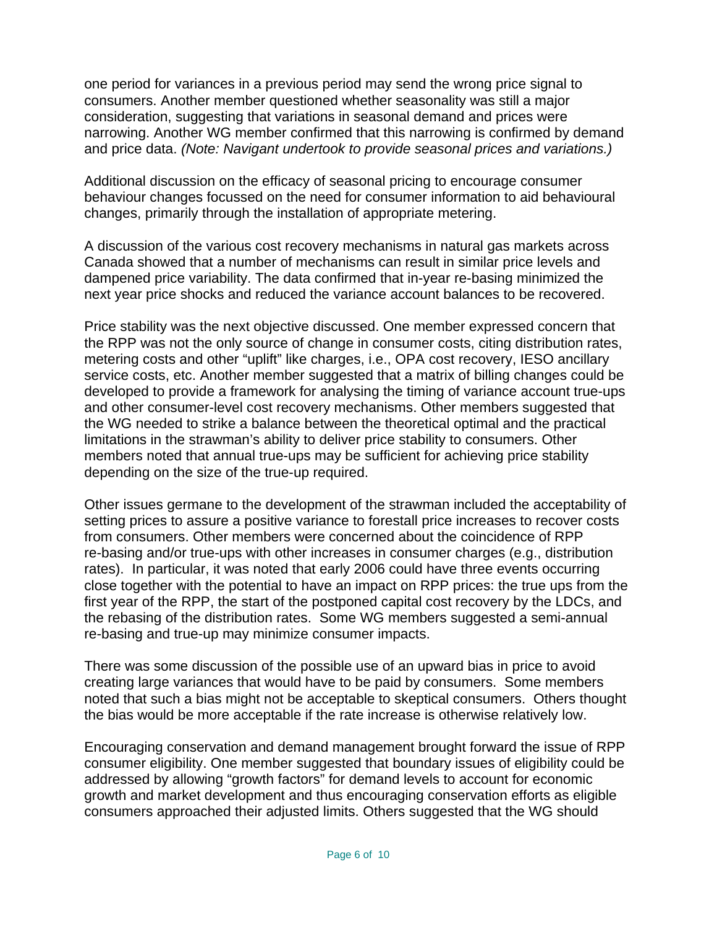one period for variances in a previous period may send the wrong price signal to consumers. Another member questioned whether seasonality was still a major consideration, suggesting that variations in seasonal demand and prices were narrowing. Another WG member confirmed that this narrowing is confirmed by demand and price data. *(Note: Navigant undertook to provide seasonal prices and variations.)*

Additional discussion on the efficacy of seasonal pricing to encourage consumer behaviour changes focussed on the need for consumer information to aid behavioural changes, primarily through the installation of appropriate metering.

A discussion of the various cost recovery mechanisms in natural gas markets across Canada showed that a number of mechanisms can result in similar price levels and dampened price variability. The data confirmed that in-year re-basing minimized the next year price shocks and reduced the variance account balances to be recovered.

Price stability was the next objective discussed. One member expressed concern that the RPP was not the only source of change in consumer costs, citing distribution rates, metering costs and other "uplift" like charges, i.e., OPA cost recovery, IESO ancillary service costs, etc. Another member suggested that a matrix of billing changes could be developed to provide a framework for analysing the timing of variance account true-ups and other consumer-level cost recovery mechanisms. Other members suggested that the WG needed to strike a balance between the theoretical optimal and the practical limitations in the strawman's ability to deliver price stability to consumers. Other members noted that annual true-ups may be sufficient for achieving price stability depending on the size of the true-up required.

Other issues germane to the development of the strawman included the acceptability of setting prices to assure a positive variance to forestall price increases to recover costs from consumers. Other members were concerned about the coincidence of RPP re-basing and/or true-ups with other increases in consumer charges (e.g., distribution rates). In particular, it was noted that early 2006 could have three events occurring close together with the potential to have an impact on RPP prices: the true ups from the first year of the RPP, the start of the postponed capital cost recovery by the LDCs, and the rebasing of the distribution rates. Some WG members suggested a semi-annual re-basing and true-up may minimize consumer impacts.

There was some discussion of the possible use of an upward bias in price to avoid creating large variances that would have to be paid by consumers. Some members noted that such a bias might not be acceptable to skeptical consumers. Others thought the bias would be more acceptable if the rate increase is otherwise relatively low.

Encouraging conservation and demand management brought forward the issue of RPP consumer eligibility. One member suggested that boundary issues of eligibility could be addressed by allowing "growth factors" for demand levels to account for economic growth and market development and thus encouraging conservation efforts as eligible consumers approached their adjusted limits. Others suggested that the WG should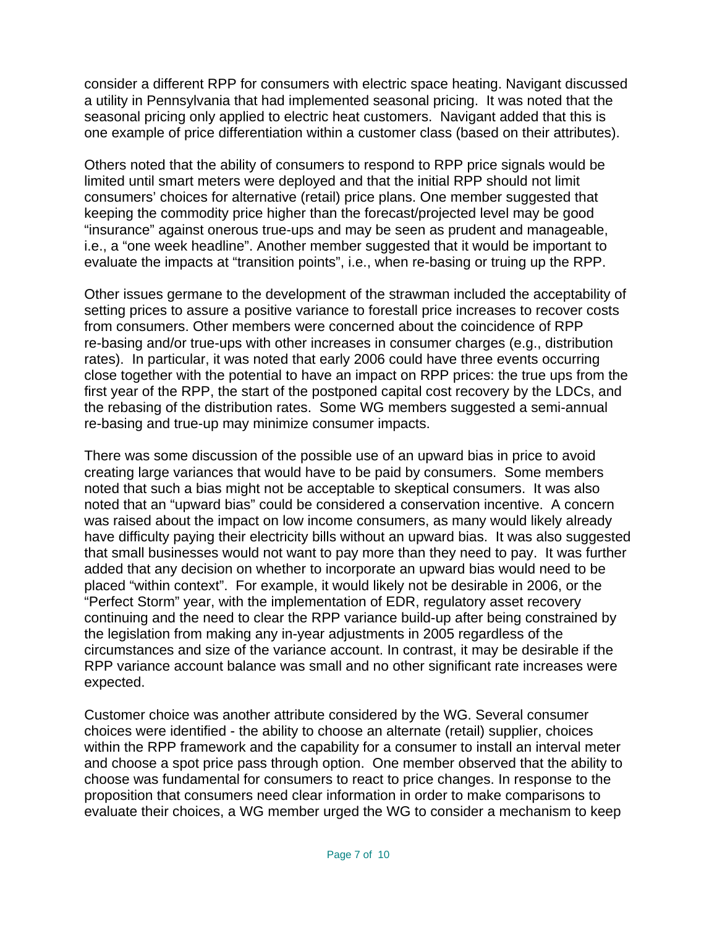consider a different RPP for consumers with electric space heating. Navigant discussed a utility in Pennsylvania that had implemented seasonal pricing. It was noted that the seasonal pricing only applied to electric heat customers. Navigant added that this is one example of price differentiation within a customer class (based on their attributes).

Others noted that the ability of consumers to respond to RPP price signals would be limited until smart meters were deployed and that the initial RPP should not limit consumers' choices for alternative (retail) price plans. One member suggested that keeping the commodity price higher than the forecast/projected level may be good "insurance" against onerous true-ups and may be seen as prudent and manageable, i.e., a "one week headline". Another member suggested that it would be important to evaluate the impacts at "transition points", i.e., when re-basing or truing up the RPP.

Other issues germane to the development of the strawman included the acceptability of setting prices to assure a positive variance to forestall price increases to recover costs from consumers. Other members were concerned about the coincidence of RPP re-basing and/or true-ups with other increases in consumer charges (e.g., distribution rates). In particular, it was noted that early 2006 could have three events occurring close together with the potential to have an impact on RPP prices: the true ups from the first year of the RPP, the start of the postponed capital cost recovery by the LDCs, and the rebasing of the distribution rates. Some WG members suggested a semi-annual re-basing and true-up may minimize consumer impacts.

There was some discussion of the possible use of an upward bias in price to avoid creating large variances that would have to be paid by consumers. Some members noted that such a bias might not be acceptable to skeptical consumers. It was also noted that an "upward bias" could be considered a conservation incentive. A concern was raised about the impact on low income consumers, as many would likely already have difficulty paying their electricity bills without an upward bias. It was also suggested that small businesses would not want to pay more than they need to pay. It was further added that any decision on whether to incorporate an upward bias would need to be placed "within context". For example, it would likely not be desirable in 2006, or the "Perfect Storm" year, with the implementation of EDR, regulatory asset recovery continuing and the need to clear the RPP variance build-up after being constrained by the legislation from making any in-year adjustments in 2005 regardless of the circumstances and size of the variance account. In contrast, it may be desirable if the RPP variance account balance was small and no other significant rate increases were expected.

Customer choice was another attribute considered by the WG. Several consumer choices were identified - the ability to choose an alternate (retail) supplier, choices within the RPP framework and the capability for a consumer to install an interval meter and choose a spot price pass through option. One member observed that the ability to choose was fundamental for consumers to react to price changes. In response to the proposition that consumers need clear information in order to make comparisons to evaluate their choices, a WG member urged the WG to consider a mechanism to keep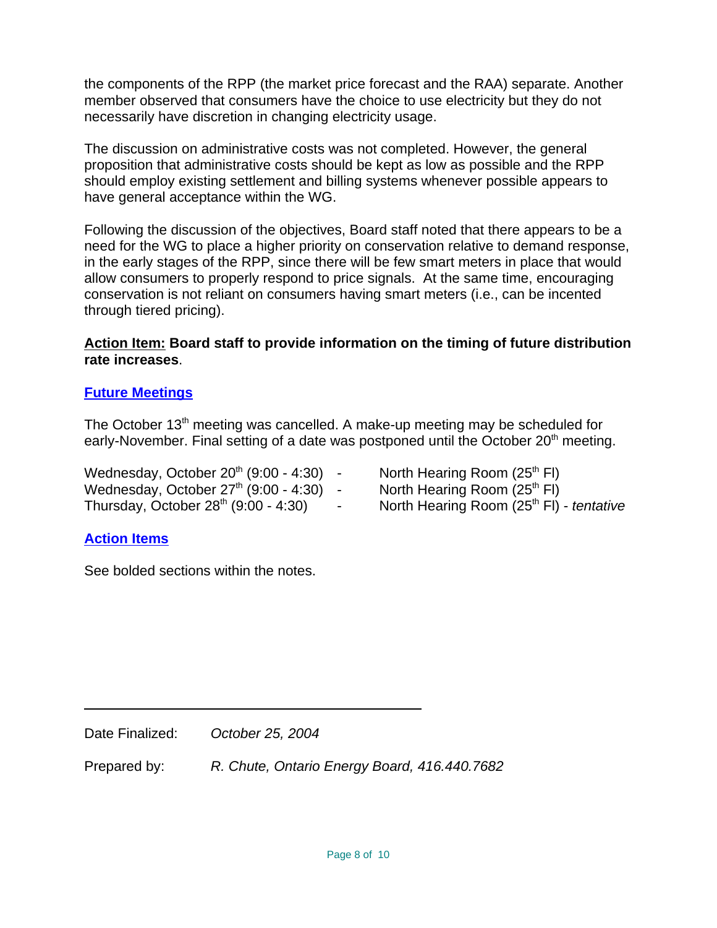the components of the RPP (the market price forecast and the RAA) separate. Another member observed that consumers have the choice to use electricity but they do not necessarily have discretion in changing electricity usage.

The discussion on administrative costs was not completed. However, the general proposition that administrative costs should be kept as low as possible and the RPP should employ existing settlement and billing systems whenever possible appears to have general acceptance within the WG.

Following the discussion of the objectives, Board staff noted that there appears to be a need for the WG to place a higher priority on conservation relative to demand response, in the early stages of the RPP, since there will be few smart meters in place that would allow consumers to properly respond to price signals. At the same time, encouraging conservation is not reliant on consumers having smart meters (i.e., can be incented through tiered pricing).

## **Action Item: Board staff to provide information on the timing of future distribution rate increases**.

# **Future Meetings**

The October 13<sup>th</sup> meeting was cancelled. A make-up meeting may be scheduled for early-November. Final setting of a date was postponed until the October  $20<sup>th</sup>$  meeting.

Wednesday, October 20<sup>th</sup> (9:00 - 4:30)  $\cdot$  North Hearing Room (25<sup>th</sup> FI) Wednesday, October  $27<sup>th</sup>$  (9:00 - 4:30) - North Hearing Room (25<sup>th</sup> FI)

- 
- 
- Thursday, October 28<sup>th</sup> (9:00 4:30) North Hearing Room (25<sup>th</sup> FI) *tentative*

# **Action Items**

See bolded sections within the notes.

Prepared by: *R. Chute, Ontario Energy Board, 416.440.7682*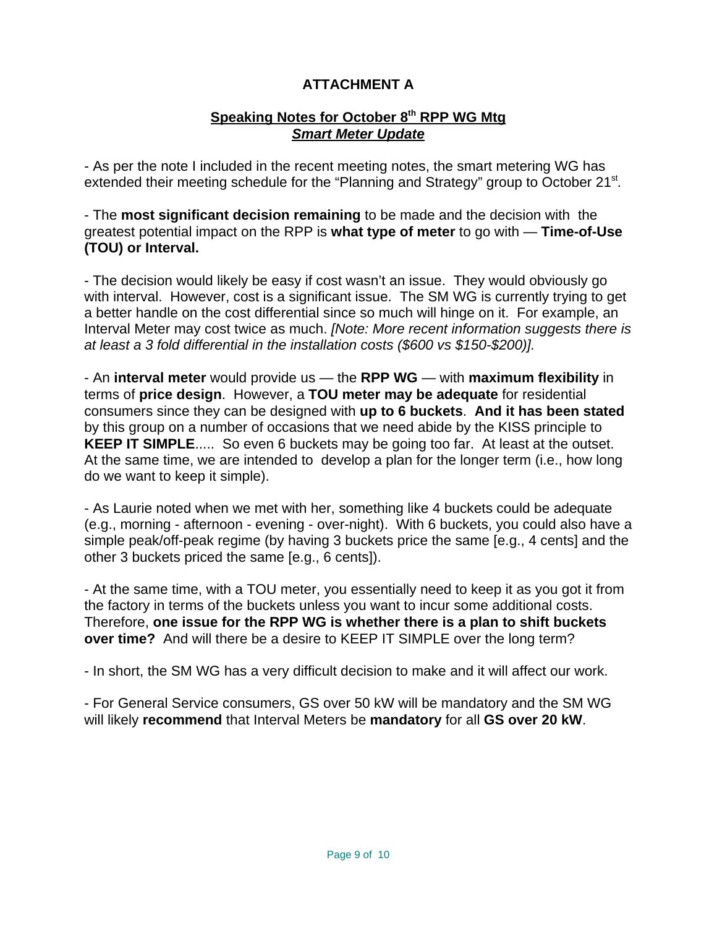# **ATTACHMENT A**

# Speaking Notes for October 8<sup>th</sup> RPP WG Mtg *Smart Meter Update*

- As per the note I included in the recent meeting notes, the smart metering WG has extended their meeting schedule for the "Planning and Strategy" group to October 21<sup>st</sup>.

- The **most significant decision remaining** to be made and the decision with the greatest potential impact on the RPP is **what type of meter** to go with — **Time-of-Use (TOU) or Interval.**

- The decision would likely be easy if cost wasn't an issue. They would obviously go with interval. However, cost is a significant issue. The SM WG is currently trying to get a better handle on the cost differential since so much will hinge on it. For example, an Interval Meter may cost twice as much. *[Note: More recent information suggests there is at least a 3 fold differential in the installation costs (\$600 vs \$150-\$200)].*

- An **interval meter** would provide us — the **RPP WG** — with **maximum flexibility** in terms of **price design**. However, a **TOU meter may be adequate** for residential consumers since they can be designed with **up to 6 buckets**. **And it has been stated** by this group on a number of occasions that we need abide by the KISS principle to **KEEP IT SIMPLE**..... So even 6 buckets may be going too far. At least at the outset. At the same time, we are intended to develop a plan for the longer term (i.e., how long do we want to keep it simple).

- As Laurie noted when we met with her, something like 4 buckets could be adequate (e.g., morning - afternoon - evening - over-night). With 6 buckets, you could also have a simple peak/off-peak regime (by having 3 buckets price the same [e.g., 4 cents] and the other 3 buckets priced the same [e.g., 6 cents]).

- At the same time, with a TOU meter, you essentially need to keep it as you got it from the factory in terms of the buckets unless you want to incur some additional costs. Therefore, **one issue for the RPP WG is whether there is a plan to shift buckets over time?** And will there be a desire to KEEP IT SIMPLE over the long term?

- In short, the SM WG has a very difficult decision to make and it will affect our work.

- For General Service consumers, GS over 50 kW will be mandatory and the SM WG will likely **recommend** that Interval Meters be **mandatory** for all **GS over 20 kW**.